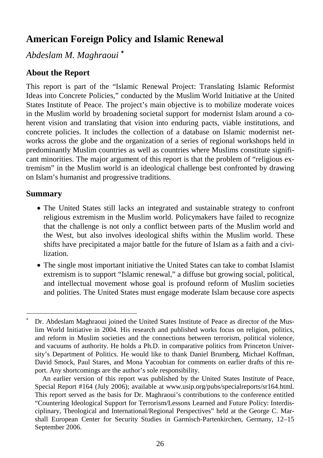# **American Foreign Policy and Islamic Renewal**

*Abdeslam M. Maghraoui* <sup>∗</sup>

# **About the Report**

This report is part of the "Islamic Renewal Project: Translating Islamic Reformist Ideas into Concrete Policies," conducted by the Muslim World Initiative at the United States Institute of Peace. The project's main objective is to mobilize moderate voices in the Muslim world by broadening societal support for modernist Islam around a coherent vision and translating that vision into enduring pacts, viable institutions, and concrete policies. It includes the collection of a database on Islamic modernist networks across the globe and the organization of a series of regional workshops held in predominantly Muslim countries as well as countries where Muslims constitute significant minorities. The major argument of this report is that the problem of "religious extremism" in the Muslim world is an ideological challenge best confronted by drawing on Islam's humanist and progressive traditions.

# **Summary**

-

- The United States still lacks an integrated and sustainable strategy to confront religious extremism in the Muslim world. Policymakers have failed to recognize that the challenge is not only a conflict between parts of the Muslim world and the West, but also involves ideological shifts within the Muslim world. These shifts have precipitated a major battle for the future of Islam as a faith and a civilization.
- The single most important initiative the United States can take to combat Islamist extremism is to support "Islamic renewal," a diffuse but growing social, political, and intellectual movement whose goal is profound reform of Muslim societies and polities. The United States must engage moderate Islam because core aspects

<sup>∗</sup> Dr. Abdeslam Maghraoui joined the United States Institute of Peace as director of the Muslim World Initiative in 2004. His research and published works focus on religion, politics, and reform in Muslim societies and the connections between terrorism, political violence, and vacuums of authority. He holds a Ph.D. in comparative politics from Princeton University's Department of Politics. He would like to thank Daniel Brumberg, Michael Koffman, David Smock, Paul Stares, and Mona Yacoubian for comments on earlier drafts of this report. Any shortcomings are the author's sole responsibility.

An earlier version of this report was published by the United States Institute of Peace, Special Report #164 (July 2006); available at www.usip.org/pubs/specialreports/sr164.html. This report served as the basis for Dr. Maghraoui's contributions to the conference entitled "Countering Ideological Support for Terrorism/Lessons Learned and Future Policy: Interdisciplinary, Theological and International/Regional Perspectives" held at the George C. Marshall European Center for Security Studies in Garmisch-Partenkirchen, Germany, 12–15 September 2006.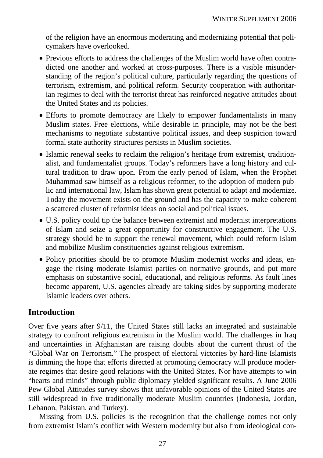of the religion have an enormous moderating and modernizing potential that policymakers have overlooked.

- Previous efforts to address the challenges of the Muslim world have often contradicted one another and worked at cross-purposes. There is a visible misunderstanding of the region's political culture, particularly regarding the questions of terrorism, extremism, and political reform. Security cooperation with authoritarian regimes to deal with the terrorist threat has reinforced negative attitudes about the United States and its policies.
- Efforts to promote democracy are likely to empower fundamentalists in many Muslim states. Free elections, while desirable in principle, may not be the best mechanisms to negotiate substantive political issues, and deep suspicion toward formal state authority structures persists in Muslim societies.
- Islamic renewal seeks to reclaim the religion's heritage from extremist, traditionalist, and fundamentalist groups. Today's reformers have a long history and cultural tradition to draw upon. From the early period of Islam, when the Prophet Muhammad saw himself as a religious reformer, to the adoption of modern public and international law, Islam has shown great potential to adapt and modernize. Today the movement exists on the ground and has the capacity to make coherent a scattered cluster of reformist ideas on social and political issues.
- U.S. policy could tip the balance between extremist and modernist interpretations of Islam and seize a great opportunity for constructive engagement. The U.S. strategy should be to support the renewal movement, which could reform Islam and mobilize Muslim constituencies against religious extremism.
- Policy priorities should be to promote Muslim modernist works and ideas, engage the rising moderate Islamist parties on normative grounds, and put more emphasis on substantive social, educational, and religious reforms. As fault lines become apparent, U.S. agencies already are taking sides by supporting moderate Islamic leaders over others.

# **Introduction**

Over five years after 9/11, the United States still lacks an integrated and sustainable strategy to confront religious extremism in the Muslim world. The challenges in Iraq and uncertainties in Afghanistan are raising doubts about the current thrust of the "Global War on Terrorism." The prospect of electoral victories by hard-line Islamists is dimming the hope that efforts directed at promoting democracy will produce moderate regimes that desire good relations with the United States. Nor have attempts to win "hearts and minds" through public diplomacy yielded significant results. A June 2006 Pew Global Attitudes survey shows that unfavorable opinions of the United States are still widespread in five traditionally moderate Muslim countries (Indonesia, Jordan, Lebanon, Pakistan, and Turkey).

Missing from U.S. policies is the recognition that the challenge comes not only from extremist Islam's conflict with Western modernity but also from ideological con-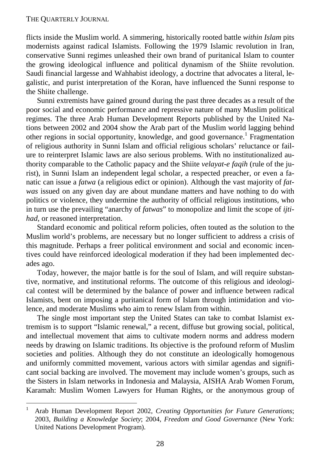flicts inside the Muslim world. A simmering, historically rooted battle *within Islam* pits modernists against radical Islamists. Following the 1979 Islamic revolution in Iran, conservative Sunni regimes unleashed their own brand of puritanical Islam to counter the growing ideological influence and political dynamism of the Shiite revolution. Saudi financial largesse and Wahhabist ideology, a doctrine that advocates a literal, legalistic, and purist interpretation of the Koran, have influenced the Sunni response to the Shiite challenge.

Sunni extremists have gained ground during the past three decades as a result of the poor social and economic performance and repressive nature of many Muslim political regimes. The three Arab Human Development Reports published by the United Nations between 2002 and 2004 show the Arab part of the Muslim world lagging behind other regions in social opportunity, knowledge, and good governance.<sup>1</sup> Fragmentation of religious authority in Sunni Islam and official religious scholars' reluctance or failure to reinterpret Islamic laws are also serious problems. With no institutionalized authority comparable to the Catholic papacy and the Shiite *velayat-e faqih* (rule of the jurist), in Sunni Islam an independent legal scholar, a respected preacher, or even a fanatic can issue a *fatwa* (a religious edict or opinion). Although the vast majority of *fatwas* issued on any given day are about mundane matters and have nothing to do with politics or violence, they undermine the authority of official religious institutions, who in turn use the prevailing "anarchy of *fatwas*" to monopolize and limit the scope of *ijtihad*, or reasoned interpretation.

Standard economic and political reform policies, often touted as the solution to the Muslim world's problems, are necessary but no longer sufficient to address a crisis of this magnitude. Perhaps a freer political environment and social and economic incentives could have reinforced ideological moderation if they had been implemented decades ago.

Today, however, the major battle is for the soul of Islam, and will require substantive, normative, and institutional reforms. The outcome of this religious and ideological contest will be determined by the balance of power and influence between radical Islamists, bent on imposing a puritanical form of Islam through intimidation and violence, and moderate Muslims who aim to renew Islam from within.

The single most important step the United States can take to combat Islamist extremism is to support "Islamic renewal," a recent, diffuse but growing social, political, and intellectual movement that aims to cultivate modern norms and address modern needs by drawing on Islamic traditions. Its objective is the profound reform of Muslim societies and polities. Although they do not constitute an ideologically homogenous and uniformly committed movement, various actors with similar agendas and significant social backing are involved. The movement may include women's groups, such as the Sisters in Islam networks in Indonesia and Malaysia, AISHA Arab Women Forum, Karamah: Muslim Women Lawyers for Human Rights, or the anonymous group of

 $\frac{1}{1}$  Arab Human Development Report 2002, *Creating Opportunities for Future Generations*; 2003, *Building a Knowledge Society*; 2004, *Freedom and Good Governance* (New York: United Nations Development Program).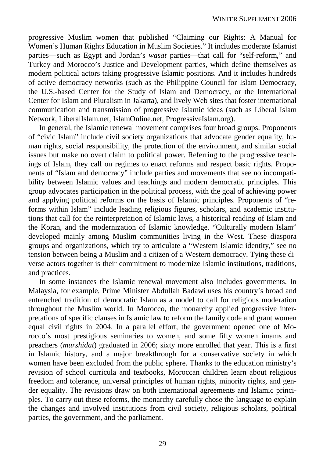progressive Muslim women that published "Claiming our Rights: A Manual for Women's Human Rights Education in Muslim Societies." It includes moderate Islamist parties—such as Egypt and Jordan's *wasat* parties—that call for "self-reform," and Turkey and Morocco's Justice and Development parties, which define themselves as modern political actors taking progressive Islamic positions. And it includes hundreds of active democracy networks (such as the Philippine Council for Islam Democracy, the U.S.-based Center for the Study of Islam and Democracy, or the International Center for Islam and Pluralism in Jakarta), and lively Web sites that foster international communication and transmission of progressive Islamic ideas (such as Liberal Islam Network, LiberalIslam.net, IslamOnline.net, ProgressiveIslam.org).

In general, the Islamic renewal movement comprises four broad groups. Proponents of "civic Islam" include civil society organizations that advocate gender equality, human rights, social responsibility, the protection of the environment, and similar social issues but make no overt claim to political power. Referring to the progressive teachings of Islam, they call on regimes to enact reforms and respect basic rights. Proponents of "Islam and democracy" include parties and movements that see no incompatibility between Islamic values and teachings and modern democratic principles. This group advocates participation in the political process, with the goal of achieving power and applying political reforms on the basis of Islamic principles. Proponents of "reforms within Islam" include leading religious figures, scholars, and academic institutions that call for the reinterpretation of Islamic laws, a historical reading of Islam and the Koran, and the modernization of Islamic knowledge. "Culturally modern Islam" developed mainly among Muslim communities living in the West. These diaspora groups and organizations, which try to articulate a "Western Islamic identity," see no tension between being a Muslim and a citizen of a Western democracy. Tying these diverse actors together is their commitment to modernize Islamic institutions, traditions, and practices.

In some instances the Islamic renewal movement also includes governments. In Malaysia, for example, Prime Minister Abdullah Badawi uses his country's broad and entrenched tradition of democratic Islam as a model to call for religious moderation throughout the Muslim world. In Morocco, the monarchy applied progressive interpretations of specific clauses in Islamic law to reform the family code and grant women equal civil rights in 2004. In a parallel effort, the government opened one of Morocco's most prestigious seminaries to women, and some fifty women imams and preachers (*murshidat*) graduated in 2006; sixty more enrolled that year. This is a first in Islamic history, and a major breakthrough for a conservative society in which women have been excluded from the public sphere. Thanks to the education ministry's revision of school curricula and textbooks, Moroccan children learn about religious freedom and tolerance, universal principles of human rights, minority rights, and gender equality. The revisions draw on both international agreements and Islamic principles. To carry out these reforms, the monarchy carefully chose the language to explain the changes and involved institutions from civil society, religious scholars, political parties, the government, and the parliament.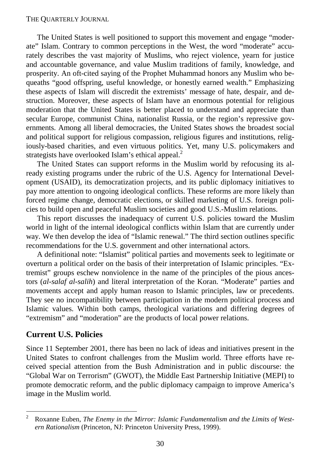The United States is well positioned to support this movement and engage "moderate" Islam. Contrary to common perceptions in the West, the word "moderate" accurately describes the vast majority of Muslims, who reject violence, yearn for justice and accountable governance, and value Muslim traditions of family, knowledge, and prosperity. An oft-cited saying of the Prophet Muhammad honors any Muslim who bequeaths "good offspring, useful knowledge, or honestly earned wealth." Emphasizing these aspects of Islam will discredit the extremists' message of hate, despair, and destruction. Moreover, these aspects of Islam have an enormous potential for religious moderation that the United States is better placed to understand and appreciate than secular Europe, communist China, nationalist Russia, or the region's repressive governments. Among all liberal democracies, the United States shows the broadest social and political support for religious compassion, religious figures and institutions, religiously-based charities, and even virtuous politics. Yet, many U.S. policymakers and strategists have overlooked Islam's ethical appeal.<sup>2</sup>

The United States can support reforms in the Muslim world by refocusing its already existing programs under the rubric of the U.S. Agency for International Development (USAID), its democratization projects, and its public diplomacy initiatives to pay more attention to ongoing ideological conflicts. These reforms are more likely than forced regime change, democratic elections, or skilled marketing of U.S. foreign policies to build open and peaceful Muslim societies and good U.S.-Muslim relations.

This report discusses the inadequacy of current U.S. policies toward the Muslim world in light of the internal ideological conflicts within Islam that are currently under way. We then develop the idea of "Islamic renewal." The third section outlines specific recommendations for the U.S. government and other international actors.

A definitional note: "Islamist" political parties and movements seek to legitimate or overturn a political order on the basis of their interpretation of Islamic principles. "Extremist" groups eschew nonviolence in the name of the principles of the pious ancestors (*al-salaf al-salih*) and literal interpretation of the Koran. "Moderate" parties and movements accept and apply human reason to Islamic principles, law or precedents. They see no incompatibility between participation in the modern political process and Islamic values. Within both camps, theological variations and differing degrees of "extremism" and "moderation" are the products of local power relations.

### **Current U.S. Policies**

1

Since 11 September 2001, there has been no lack of ideas and initiatives present in the United States to confront challenges from the Muslim world. Three efforts have received special attention from the Bush Administration and in public discourse: the "Global War on Terrorism" (GWOT), the Middle East Partnership Initiative (MEPI) to promote democratic reform, and the public diplomacy campaign to improve America's image in the Muslim world.

<sup>2</sup> Roxanne Euben, *The Enemy in the Mirror: Islamic Fundamentalism and the Limits of Western Rationalism* (Princeton, NJ: Princeton University Press, 1999).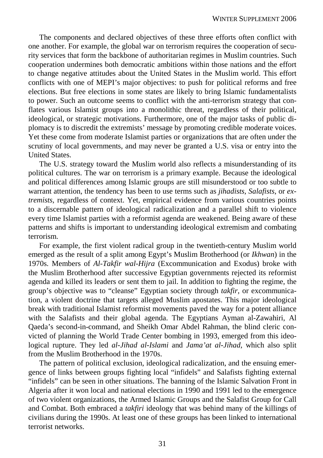The components and declared objectives of these three efforts often conflict with one another. For example, the global war on terrorism requires the cooperation of security services that form the backbone of authoritarian regimes in Muslim countries. Such cooperation undermines both democratic ambitions within those nations and the effort to change negative attitudes about the United States in the Muslim world. This effort conflicts with one of MEPI's major objectives: to push for political reforms and free elections. But free elections in some states are likely to bring Islamic fundamentalists to power. Such an outcome seems to conflict with the anti-terrorism strategy that conflates various Islamist groups into a monolithic threat, regardless of their political, ideological, or strategic motivations. Furthermore, one of the major tasks of public diplomacy is to discredit the extremists' message by promoting credible moderate voices. Yet these come from moderate Islamist parties or organizations that are often under the scrutiny of local governments, and may never be granted a U.S. visa or entry into the United States.

The U.S. strategy toward the Muslim world also reflects a misunderstanding of its political cultures. The war on terrorism is a primary example. Because the ideological and political differences among Islamic groups are still misunderstood or too subtle to warrant attention, the tendency has been to use terms such as *jihadists*, *Salafists*, or *extremists*, regardless of context. Yet, empirical evidence from various countries points to a discernable pattern of ideological radicalization and a parallel shift to violence every time Islamist parties with a reformist agenda are weakened. Being aware of these patterns and shifts is important to understanding ideological extremism and combating terrorism.

For example, the first violent radical group in the twentieth-century Muslim world emerged as the result of a split among Egypt's Muslim Brotherhood (or *Ikhwan*) in the 1970s. Members of *Al-Takfir wal-Hijra* (Excommunication and Exodus) broke with the Muslim Brotherhood after successive Egyptian governments rejected its reformist agenda and killed its leaders or sent them to jail. In addition to fighting the regime, the group's objective was to "cleanse" Egyptian society through *takfir*, or excommunication, a violent doctrine that targets alleged Muslim apostates. This major ideological break with traditional Islamist reformist movements paved the way for a potent alliance with the Salafists and their global agenda. The Egyptians Ayman al-Zawahiri, Al Qaeda's second-in-command, and Sheikh Omar Abdel Rahman, the blind cleric convicted of planning the World Trade Center bombing in 1993, emerged from this ideological rupture. They led *al-Jihad al-Islami* and *Jama'at al-Jihad*, which also split from the Muslim Brotherhood in the 1970s.

The pattern of political exclusion, ideological radicalization, and the ensuing emergence of links between groups fighting local "infidels" and Salafists fighting external "infidels" can be seen in other situations. The banning of the Islamic Salvation Front in Algeria after it won local and national elections in 1990 and 1991 led to the emergence of two violent organizations, the Armed Islamic Groups and the Salafist Group for Call and Combat. Both embraced a *takfiri* ideology that was behind many of the killings of civilians during the 1990s. At least one of these groups has been linked to international terrorist networks.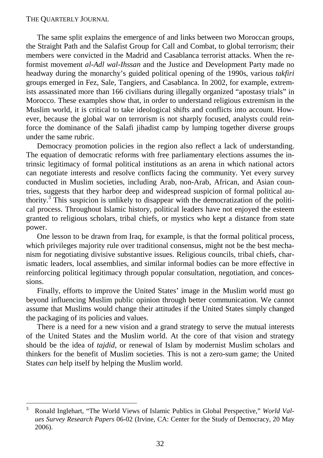The same split explains the emergence of and links between two Moroccan groups, the Straight Path and the Salafist Group for Call and Combat, to global terrorism; their members were convicted in the Madrid and Casablanca terrorist attacks. When the reformist movement *al-Adl wal-Ihssan* and the Justice and Development Party made no headway during the monarchy's guided political opening of the 1990s, various *takfiri* groups emerged in Fez, Sale, Tangiers, and Casablanca. In 2002, for example, extremists assassinated more than 166 civilians during illegally organized "apostasy trials" in Morocco. These examples show that, in order to understand religious extremism in the Muslim world, it is critical to take ideological shifts and conflicts into account. However, because the global war on terrorism is not sharply focused, analysts could reinforce the dominance of the Salafi jihadist camp by lumping together diverse groups under the same rubric.

Democracy promotion policies in the region also reflect a lack of understanding. The equation of democratic reforms with free parliamentary elections assumes the intrinsic legitimacy of formal political institutions as an arena in which national actors can negotiate interests and resolve conflicts facing the community. Yet every survey conducted in Muslim societies, including Arab, non-Arab, African, and Asian countries, suggests that they harbor deep and widespread suspicion of formal political authority.<sup>3</sup> This suspicion is unlikely to disappear with the democratization of the political process. Throughout Islamic history, political leaders have not enjoyed the esteem granted to religious scholars, tribal chiefs, or mystics who kept a distance from state power.

One lesson to be drawn from Iraq, for example, is that the formal political process, which privileges majority rule over traditional consensus, might not be the best mechanism for negotiating divisive substantive issues. Religious councils, tribal chiefs, charismatic leaders, local assemblies, and similar informal bodies can be more effective in reinforcing political legitimacy through popular consultation, negotiation, and concessions.

Finally, efforts to improve the United States' image in the Muslim world must go beyond influencing Muslim public opinion through better communication. We cannot assume that Muslims would change their attitudes if the United States simply changed the packaging of its policies and values.

There is a need for a new vision and a grand strategy to serve the mutual interests of the United States and the Muslim world. At the core of that vision and strategy should be the idea of *tajdid*, or renewal of Islam by modernist Muslim scholars and thinkers for the benefit of Muslim societies. This is not a zero-sum game; the United States *can* help itself by helping the Muslim world.

 $\frac{1}{3}$  Ronald Inglehart, "The World Views of Islamic Publics in Global Perspective," *World Values Survey Research Papers* 06-02 (Irvine, CA: Center for the Study of Democracy, 20 May 2006).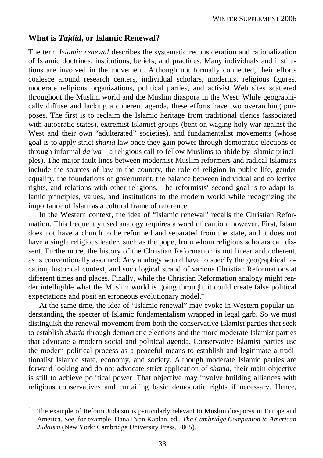### **What is** *Tajdid***, or Islamic Renewal?**

The term *Islamic renewal* describes the systematic reconsideration and rationalization of Islamic doctrines, institutions, beliefs, and practices. Many individuals and institutions are involved in the movement. Although not formally connected, their efforts coalesce around research centers, individual scholars, modernist religious figures, moderate religious organizations, political parties, and activist Web sites scattered throughout the Muslim world and the Muslim diaspora in the West. While geographically diffuse and lacking a coherent agenda, these efforts have two overarching purposes. The first is to reclaim the Islamic heritage from traditional clerics (associated with autocratic states), extremist Islamist groups (bent on waging holy war against the West and their own "adulterated" societies), and fundamentalist movements (whose goal is to apply strict *sharia* law once they gain power through democratic elections or through informal *da'wa*—a religious call to fellow Muslims to abide by Islamic principles). The major fault lines between modernist Muslim reformers and radical Islamists include the sources of law in the country, the role of religion in public life, gender equality, the foundations of government, the balance between individual and collective rights, and relations with other religions. The reformists' second goal is to adapt Islamic principles, values, and institutions to the modern world while recognizing the importance of Islam as a cultural frame of reference.

In the Western context, the idea of "Islamic renewal" recalls the Christian Reformation. This frequently used analogy requires a word of caution, however. First, Islam does not have a church to be reformed and separated from the state, and it does not have a single religious leader, such as the pope, from whom religious scholars can dissent. Furthermore, the history of the Christian Reformation is not linear and coherent, as is conventionally assumed. Any analogy would have to specify the geographical location, historical context, and sociological strand of various Christian Reformations at different times and places. Finally, while the Christian Reformation analogy might render intelligible what the Muslim world is going through, it could create false political expectations and posit an erroneous evolutionary model.<sup>4</sup>

At the same time, the idea of "Islamic renewal" may evoke in Western popular understanding the specter of Islamic fundamentalism wrapped in legal garb. So we must distinguish the renewal movement from both the conservative Islamist parties that seek to establish *sharia* through democratic elections and the more moderate Islamist parties that advocate a modern social and political agenda. Conservative Islamist parties use the modern political process as a peaceful means to establish and legitimate a traditionalist Islamic state, economy, and society. Although moderate Islamic parties are forward-looking and do not advocate strict application of *sharia*, their main objective is still to achieve political power. That objective may involve building alliances with religious conservatives and curtailing basic democratic rights if necessary. Hence,

 4 The example of Reform Judaism is particularly relevant to Muslim diasporas in Europe and America. See, for example, Dana Evan Kaplan, ed., *The Cambridge Companion to American Judaism* (New York: Cambridge University Press, 2005).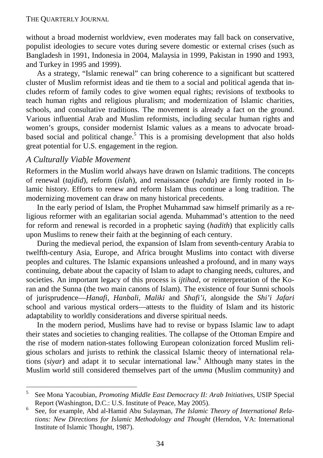without a broad modernist worldview, even moderates may fall back on conservative, populist ideologies to secure votes during severe domestic or external crises (such as Bangladesh in 1991, Indonesia in 2004, Malaysia in 1999, Pakistan in 1990 and 1993, and Turkey in 1995 and 1999).

As a strategy, "Islamic renewal" can bring coherence to a significant but scattered cluster of Muslim reformist ideas and tie them to a social and political agenda that includes reform of family codes to give women equal rights; revisions of textbooks to teach human rights and religious pluralism; and modernization of Islamic charities, schools, and consultative traditions. The movement is already a fact on the ground. Various influential Arab and Muslim reformists, including secular human rights and women's groups, consider modernist Islamic values as a means to advocate broadbased social and political change.<sup>5</sup> This is a promising development that also holds great potential for U.S. engagement in the region.

### *A Culturally Viable Movement*

Reformers in the Muslim world always have drawn on Islamic traditions. The concepts of renewal (*tajdid*), reform (*islah*), and renaissance (*nahda*) are firmly rooted in Islamic history. Efforts to renew and reform Islam thus continue a long tradition. The modernizing movement can draw on many historical precedents.

In the early period of Islam, the Prophet Muhammad saw himself primarily as a religious reformer with an egalitarian social agenda. Muhammad's attention to the need for reform and renewal is recorded in a prophetic saying (*hadith*) that explicitly calls upon Muslims to renew their faith at the beginning of each century.

During the medieval period, the expansion of Islam from seventh-century Arabia to twelfth-century Asia, Europe, and Africa brought Muslims into contact with diverse peoples and cultures. The Islamic expansions unleashed a profound, and in many ways continuing, debate about the capacity of Islam to adapt to changing needs, cultures, and societies. An important legacy of this process is *ijtihad*, or reinterpretation of the Koran and the Sunna (the two main canons of Islam). The existence of four Sunni schools of jurisprudence—*Hanafi*, *Hanbali*, *Maliki* and *Shafi'i*, alongside the *Shi'i Jafari*  school and various mystical orders—attests to the fluidity of Islam and its historic adaptability to worldly considerations and diverse spiritual needs.

In the modern period, Muslims have had to revise or bypass Islamic law to adapt their states and societies to changing realities. The collapse of the Ottoman Empire and the rise of modern nation-states following European colonization forced Muslim religious scholars and jurists to rethink the classical Islamic theory of international relations (*siyar*) and adapt it to secular international law.6 Although many states in the Muslim world still considered themselves part of the *umma* (Muslim community) and

<sup>-&</sup>lt;br>5 See Mona Yacoubian, *Promoting Middle East Democracy II: Arab Initiatives*, USIP Special Report (Washington, D.C.: U.S. Institute of Peace, May 2005).

See, for example, Abd al-Hamid Abu Sulayman, *The Islamic Theory of International Relations: New Directions for Islamic Methodology and Thought* (Herndon, VA: International Institute of Islamic Thought, 1987).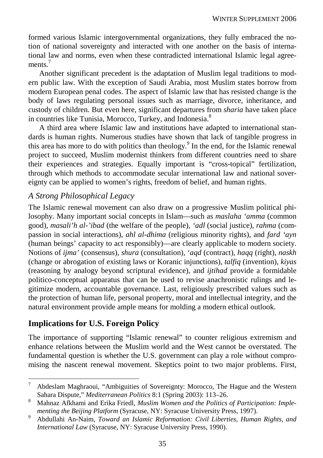formed various Islamic intergovernmental organizations, they fully embraced the notion of national sovereignty and interacted with one another on the basis of international law and norms, even when these contradicted international Islamic legal agreements<sup>7</sup>

Another significant precedent is the adaptation of Muslim legal traditions to modern public law. With the exception of Saudi Arabia, most Muslim states borrow from modern European penal codes. The aspect of Islamic law that has resisted change is the body of laws regulating personal issues such as marriage, divorce, inheritance, and custody of children. But even here, significant departures from *sharia* have taken place in countries like Tunisia, Morocco, Turkey, and Indonesia.<sup>8</sup>

A third area where Islamic law and institutions have adapted to international standards is human rights. Numerous studies have shown that lack of tangible progress in this area has more to do with politics than theology.<sup>9</sup> In the end, for the Islamic renewal project to succeed, Muslim modernist thinkers from different countries need to share their experiences and strategies. Equally important is "cross-topical" fertilization, through which methods to accommodate secular international law and national sovereignty can be applied to women's rights, freedom of belief, and human rights.

### *A Strong Philosophical Legacy*

The Islamic renewal movement can also draw on a progressive Muslim political philosophy. Many important social concepts in Islam—such as *maslaha 'amma* (common good), *masali'h al-'ibad* (the welfare of the people), *'adl* (social justice), *rahma* (compassion in social interactions), *ahl al-dhima* (religious minority rights), and *fard 'ayn* (human beings' capacity to act responsibly)—are clearly applicable to modern society. Notions of *ijma'* (consensus), *shura* (consultation), '*aqd* (contract), *haqq* (right), *naskh* (change or abrogation of existing laws or Koranic injunctions), *talfiq* (invention), *kiyas* (reasoning by analogy beyond scriptural evidence), and *ijtihad* provide a formidable politico-conceptual apparatus that can be used to revise anachronistic rulings and legitimize modern, accountable governance. Last, religiously prescribed values such as the protection of human life, personal property, moral and intellectual integrity, and the natural environment provide ample means for molding a modern ethical outlook.

# **Implications for U.S. Foreign Policy**

The importance of supporting "Islamic renewal" to counter religious extremism and enhance relations between the Muslim world and the West cannot be overstated. The fundamental question is whether the U.S. government can play a role without compromising the nascent renewal movement. Skeptics point to two major problems. First,

<sup>-&</sup>lt;br>7 Abdeslam Maghraoui, "Ambiguities of Sovereignty: Morocco, The Hague and the Western Sahara Dispute," *Mediterranean Politics* 8:1 (Spring 2003): 113–26. 8

Mahnaz Afkhami and Erika Friedl, *Muslim Women and the Politics of Participation: Implementing the Beijing Platform (Syracuse, NY: Syracuse University Press, 1997).* 

Abdullahi An-Naim, *Toward an Islamic Reformation: Civil Liberties, Human Rights, and International Law* (Syracuse, NY: Syracuse University Press, 1990).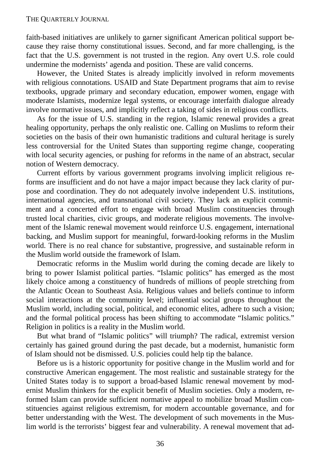faith-based initiatives are unlikely to garner significant American political support because they raise thorny constitutional issues. Second, and far more challenging, is the fact that the U.S. government is not trusted in the region. Any overt U.S. role could undermine the modernists' agenda and position. These are valid concerns.

However, the United States is already implicitly involved in reform movements with religious connotations. USAID and State Department programs that aim to revise textbooks, upgrade primary and secondary education, empower women, engage with moderate Islamists, modernize legal systems, or encourage interfaith dialogue already involve normative issues, and implicitly reflect a taking of sides in religious conflicts.

As for the issue of U.S. standing in the region, Islamic renewal provides a great healing opportunity, perhaps the only realistic one. Calling on Muslims to reform their societies on the basis of their own humanistic traditions and cultural heritage is surely less controversial for the United States than supporting regime change, cooperating with local security agencies, or pushing for reforms in the name of an abstract, secular notion of Western democracy.

Current efforts by various government programs involving implicit religious reforms are insufficient and do not have a major impact because they lack clarity of purpose and coordination. They do not adequately involve independent U.S. institutions, international agencies, and transnational civil society. They lack an explicit commitment and a concerted effort to engage with broad Muslim constituencies through trusted local charities, civic groups, and moderate religious movements. The involvement of the Islamic renewal movement would reinforce U.S. engagement, international backing, and Muslim support for meaningful, forward-looking reforms in the Muslim world. There is no real chance for substantive, progressive, and sustainable reform in the Muslim world outside the framework of Islam.

Democratic reforms in the Muslim world during the coming decade are likely to bring to power Islamist political parties. "Islamic politics" has emerged as the most likely choice among a constituency of hundreds of millions of people stretching from the Atlantic Ocean to Southeast Asia. Religious values and beliefs continue to inform social interactions at the community level; influential social groups throughout the Muslim world, including social, political, and economic elites, adhere to such a vision; and the formal political process has been shifting to accommodate "Islamic politics." Religion in politics is a reality in the Muslim world.

But what brand of "Islamic politics" will triumph? The radical, extremist version certainly has gained ground during the past decade, but a modernist, humanistic form of Islam should not be dismissed. U.S. policies could help tip the balance.

Before us is a historic opportunity for positive change in the Muslim world and for constructive American engagement. The most realistic and sustainable strategy for the United States today is to support a broad-based Islamic renewal movement by modernist Muslim thinkers for the explicit benefit of Muslim societies. Only a modern, reformed Islam can provide sufficient normative appeal to mobilize broad Muslim constituencies against religious extremism, for modern accountable governance, and for better understanding with the West. The development of such movements in the Muslim world is the terrorists' biggest fear and vulnerability. A renewal movement that ad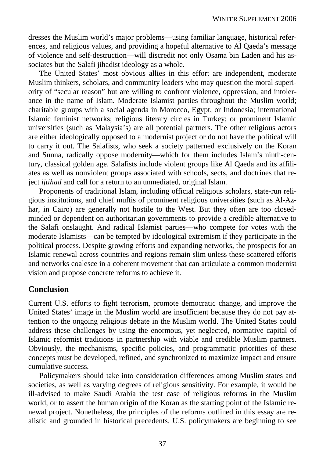dresses the Muslim world's major problems—using familiar language, historical references, and religious values, and providing a hopeful alternative to Al Qaeda's message of violence and self-destruction—will discredit not only Osama bin Laden and his associates but the Salafi jihadist ideology as a whole.

The United States' most obvious allies in this effort are independent, moderate Muslim thinkers, scholars, and community leaders who may question the moral superiority of "secular reason" but are willing to confront violence, oppression, and intolerance in the name of Islam. Moderate Islamist parties throughout the Muslim world; charitable groups with a social agenda in Morocco, Egypt, or Indonesia; international Islamic feminist networks; religious literary circles in Turkey; or prominent Islamic universities (such as Malaysia's) are all potential partners. The other religious actors are either ideologically opposed to a modernist project or do not have the political will to carry it out. The Salafists, who seek a society patterned exclusively on the Koran and Sunna, radically oppose modernity—which for them includes Islam's ninth-century, classical golden age. Salafists include violent groups like Al Qaeda and its affiliates as well as nonviolent groups associated with schools, sects, and doctrines that reject *ijtihad* and call for a return to an unmediated, original Islam.

Proponents of traditional Islam, including official religious scholars, state-run religious institutions, and chief muftis of prominent religious universities (such as Al-Azhar, in Cairo) are generally not hostile to the West. But they often are too closedminded or dependent on authoritarian governments to provide a credible alternative to the Salafi onslaught. And radical Islamist parties—who compete for votes with the moderate Islamists—can be tempted by ideological extremism if they participate in the political process. Despite growing efforts and expanding networks, the prospects for an Islamic renewal across countries and regions remain slim unless these scattered efforts and networks coalesce in a coherent movement that can articulate a common modernist vision and propose concrete reforms to achieve it.

### **Conclusion**

Current U.S. efforts to fight terrorism, promote democratic change, and improve the United States' image in the Muslim world are insufficient because they do not pay attention to the ongoing religious debate in the Muslim world. The United States could address these challenges by using the enormous, yet neglected, normative capital of Islamic reformist traditions in partnership with viable and credible Muslim partners. Obviously, the mechanisms, specific policies, and programmatic priorities of these concepts must be developed, refined, and synchronized to maximize impact and ensure cumulative success.

Policymakers should take into consideration differences among Muslim states and societies, as well as varying degrees of religious sensitivity. For example, it would be ill-advised to make Saudi Arabia the test case of religious reforms in the Muslim world, or to assert the human origin of the Koran as the starting point of the Islamic renewal project. Nonetheless, the principles of the reforms outlined in this essay are realistic and grounded in historical precedents. U.S. policymakers are beginning to see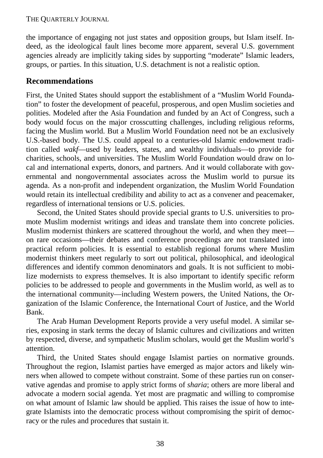the importance of engaging not just states and opposition groups, but Islam itself. Indeed, as the ideological fault lines become more apparent, several U.S. government agencies already are implicitly taking sides by supporting "moderate" Islamic leaders, groups, or parties. In this situation, U.S. detachment is not a realistic option.

### **Recommendations**

First, the United States should support the establishment of a "Muslim World Foundation" to foster the development of peaceful, prosperous, and open Muslim societies and polities. Modeled after the Asia Foundation and funded by an Act of Congress, such a body would focus on the major crosscutting challenges, including religious reforms, facing the Muslim world. But a Muslim World Foundation need not be an exclusively U.S.-based body. The U.S. could appeal to a centuries-old Islamic endowment tradition called *wakf*—used by leaders, states, and wealthy individuals—to provide for charities, schools, and universities. The Muslim World Foundation would draw on local and international experts, donors, and partners. And it would collaborate with governmental and nongovernmental associates across the Muslim world to pursue its agenda. As a non-profit and independent organization, the Muslim World Foundation would retain its intellectual credibility and ability to act as a convener and peacemaker, regardless of international tensions or U.S. policies.

Second, the United States should provide special grants to U.S. universities to promote Muslim modernist writings and ideas and translate them into concrete policies. Muslim modernist thinkers are scattered throughout the world, and when they meet on rare occasions—their debates and conference proceedings are not translated into practical reform policies. It is essential to establish regional forums where Muslim modernist thinkers meet regularly to sort out political, philosophical, and ideological differences and identify common denominators and goals. It is not sufficient to mobilize modernists to express themselves. It is also important to identify specific reform policies to be addressed to people and governments in the Muslim world, as well as to the international community—including Western powers, the United Nations, the Organization of the Islamic Conference, the International Court of Justice, and the World Bank.

The Arab Human Development Reports provide a very useful model. A similar series, exposing in stark terms the decay of Islamic cultures and civilizations and written by respected, diverse, and sympathetic Muslim scholars, would get the Muslim world's attention.

Third, the United States should engage Islamist parties on normative grounds. Throughout the region, Islamist parties have emerged as major actors and likely winners when allowed to compete without constraint. Some of these parties run on conservative agendas and promise to apply strict forms of *sharia*; others are more liberal and advocate a modern social agenda. Yet most are pragmatic and willing to compromise on what amount of Islamic law should be applied. This raises the issue of how to integrate Islamists into the democratic process without compromising the spirit of democracy or the rules and procedures that sustain it.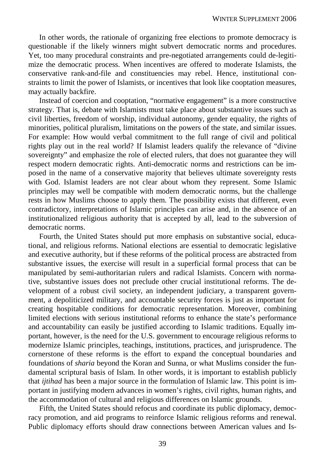In other words, the rationale of organizing free elections to promote democracy is questionable if the likely winners might subvert democratic norms and procedures. Yet, too many procedural constraints and pre-negotiated arrangements could de-legitimize the democratic process. When incentives are offered to moderate Islamists, the conservative rank-and-file and constituencies may rebel. Hence, institutional constraints to limit the power of Islamists, or incentives that look like cooptation measures, may actually backfire.

Instead of coercion and cooptation, "normative engagement" is a more constructive strategy. That is, debate with Islamists must take place about substantive issues such as civil liberties, freedom of worship, individual autonomy, gender equality, the rights of minorities, political pluralism, limitations on the powers of the state, and similar issues. For example: How would verbal commitment to the full range of civil and political rights play out in the real world? If Islamist leaders qualify the relevance of "divine sovereignty" and emphasize the role of elected rulers, that does not guarantee they will respect modern democratic rights. Anti-democratic norms and restrictions can be imposed in the name of a conservative majority that believes ultimate sovereignty rests with God. Islamist leaders are not clear about whom they represent. Some Islamic principles may well be compatible with modern democratic norms, but the challenge rests in how Muslims choose to apply them. The possibility exists that different, even contradictory, interpretations of Islamic principles can arise and, in the absence of an institutionalized religious authority that is accepted by all, lead to the subversion of democratic norms.

Fourth, the United States should put more emphasis on substantive social, educational, and religious reforms. National elections are essential to democratic legislative and executive authority, but if these reforms of the political process are abstracted from substantive issues, the exercise will result in a superficial formal process that can be manipulated by semi-authoritarian rulers and radical Islamists. Concern with normative, substantive issues does not preclude other crucial institutional reforms. The development of a robust civil society, an independent judiciary, a transparent government, a depoliticized military, and accountable security forces is just as important for creating hospitable conditions for democratic representation. Moreover, combining limited elections with serious institutional reforms to enhance the state's performance and accountability can easily be justified according to Islamic traditions. Equally important, however, is the need for the U.S. government to encourage religious reforms to modernize Islamic principles, teachings, institutions, practices, and jurisprudence. The cornerstone of these reforms is the effort to expand the conceptual boundaries and foundations of *sharia* beyond the Koran and Sunna, or what Muslims consider the fundamental scriptural basis of Islam. In other words, it is important to establish publicly that *ijtihad* has been a major source in the formulation of Islamic law. This point is important in justifying modern advances in women's rights, civil rights, human rights, and the accommodation of cultural and religious differences on Islamic grounds.

Fifth, the United States should refocus and coordinate its public diplomacy, democracy promotion, and aid programs to reinforce Islamic religious reforms and renewal. Public diplomacy efforts should draw connections between American values and Is-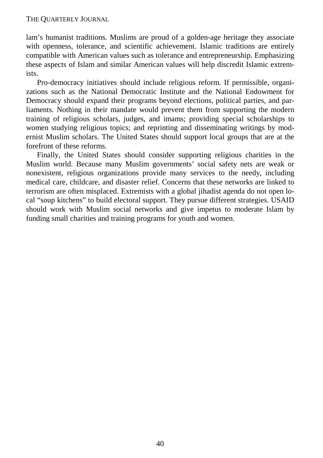lam's humanist traditions. Muslims are proud of a golden-age heritage they associate with openness, tolerance, and scientific achievement. Islamic traditions are entirely compatible with American values such as tolerance and entrepreneurship. Emphasizing these aspects of Islam and similar American values will help discredit Islamic extremists.

Pro-democracy initiatives should include religious reform. If permissible, organizations such as the National Democratic Institute and the National Endowment for Democracy should expand their programs beyond elections, political parties, and parliaments. Nothing in their mandate would prevent them from supporting the modern training of religious scholars, judges, and imams; providing special scholarships to women studying religious topics; and reprinting and disseminating writings by modernist Muslim scholars. The United States should support local groups that are at the forefront of these reforms.

Finally, the United States should consider supporting religious charities in the Muslim world. Because many Muslim governments' social safety nets are weak or nonexistent, religious organizations provide many services to the needy, including medical care, childcare, and disaster relief. Concerns that these networks are linked to terrorism are often misplaced. Extremists with a global jihadist agenda do not open local "soup kitchens" to build electoral support. They pursue different strategies. USAID should work with Muslim social networks and give impetus to moderate Islam by funding small charities and training programs for youth and women.